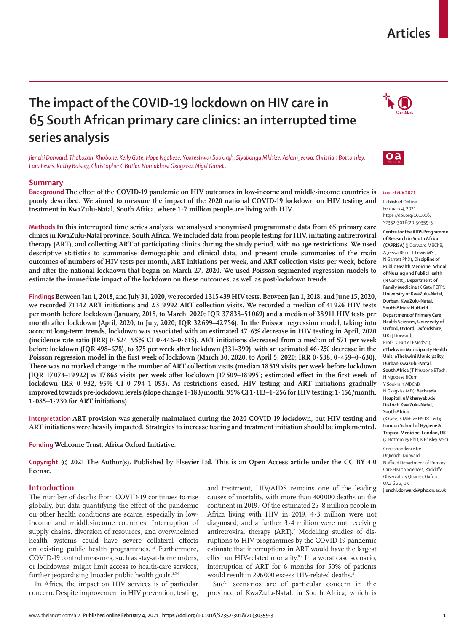# **Articles**

# **The impact of the COVID-19 lockdown on HIV care in 65 South African primary care clinics: an interrupted time series analysis**

*Jienchi Dorward, Thokozani Khubone, Kelly Gate, Hope Ngobese, Yukteshwar Sookrajh, Siyabonga Mkhize, Aslam Jeewa, Christian Bottomley, Lara Lewis, Kathy Baisley, Christopher C Butler, Nomakhosi Gxagxisa, Nigel Garrett*

# **Summary**

**Background The effect of the COVID-19 pandemic on HIV outcomes in low-income and middle-income countries is poorly described. We aimed to measure the impact of the 2020 national COVID-19 lockdown on HIV testing and treatment in KwaZulu-Natal, South Africa, where 1·7 million people are living with HIV.**

**Methods In this interrupted time series analysis, we analysed anonymised programmatic data from 65 primary care clinics in KwaZulu-Natal province, South Africa. We included data from people testing for HIV, initiating antiretroviral therapy (ART), and collecting ART at participating clinics during the study period, with no age restrictions. We used descriptive statistics to summarise demographic and clinical data, and present crude summaries of the main outcomes of numbers of HIV tests per month, ART initiations per week, and ART collection visits per week, before and after the national lockdown that began on March 27, 2020. We used Poisson segmented regression models to estimate the immediate impact of the lockdown on these outcomes, as well as post-lockdown trends.**

**Findings Between Jan 1, 2018, and July 31, 2020, we recorded 1315439 HIV tests. Between Jan 1, 2018, and June 15, 2020, we recorded 71 142 ART initiations and 2 319992 ART collection visits. We recorded a median of 41926 HIV tests per month before lockdown (January, 2018, to March, 2020; IQR 37838–51 069) and a median of 38911 HIV tests per month after lockdown (April, 2020, to July, 2020; IQR 32 699–42 756). In the Poisson regression model, taking into account long-term trends, lockdown was associated with an estimated 47·6% decrease in HIV testing in April, 2020 (incidence rate ratio [IRR] 0·524, 95% CI 0·446–0·615). ART initiations decreased from a median of 571 per week before lockdown (IQR 498–678), to 375 per week after lockdown (331–399), with an estimated 46·2% decrease in the Poisson regression model in the first week of lockdown (March 30, 2020, to April 5, 2020; IRR 0·538, 0·459–0·630). There was no marked change in the number of ART collection visits (median 18519 visits per week before lockdown [IQR 17 074–19 922]** *vs* **17863 visits per week after lockdown [17 509–18995]; estimated effect in the first week of lockdown IRR 0·932, 95% CI 0·794–1·093). As restrictions eased, HIV testing and ART initiations gradually improved towards pre-lockdown levels (slope change 1·183/month, 95% CI 1·113–1·256 for HIV testing; 1·156/month, 1·085–1·230 for ART initiations).**

**Interpretation ART provision was generally maintained during the 2020 COVID-19 lockdown, but HIV testing and ART initiations were heavily impacted. Strategies to increase testing and treatment initiation should be implemented.**

**Funding Wellcome Trust, Africa Oxford Initiative.**

**Copyright © 2021 The Author(s). Published by Elsevier Ltd. This is an Open Access article under the CC BY 4.0 license.**

# **Introduction**

The number of deaths from COVID-19 continues to rise globally, but data quantifying the effect of the pandemic on other health conditions are scarce, especially in lowincome and middle-income countries. Interruption of supply chains, diversion of resources, and overwhelmed health systems could have severe collateral effects on existing public health programmes. $144}$  Furthermore, COVID-19 control measures, such as stay-at-home orders, or lockdowns, might limit access to health-care services, further jeopardising broader public health goals.<sup>3,5,6</sup>

In Africa, the impact on HIV services is of particular concern. Despite improvement in HIV prevention, testing, and treatment, HIV/AIDS remains one of the leading causes of mortality, with more than 400000 deaths on the continent in 2019.<sup>7</sup> Of the estimated  $25 \cdot 8$  million people in Africa living with HIV in 2019, 4·3 million were not diagnosed, and a further 3·4 million were not receiving antiretroviral therapy (ART).<sup>7</sup> Modelling studies of disruptions to HIV programmes by the COVID-19 pandemic estimate that interruptions in ART would have the largest effect on HIV-related mortality.<sup>8,9</sup> In a worst case scenario, interruption of ART for 6 months for 50% of patients would result in 296 000 excess HIV-related deaths.<sup>8</sup>

Such scenarios are of particular concern in the province of KwaZulu-Natal, in South Africa, which is





# *Lancet HIV* **2021**

Published **Online** February 4, 2021 https://doi.org/10.1016/ S2352-3018(20)30359-3

**Centre for the AIDS Programme of Research in South Africa (CAPRISA)** (J Dorward MBChB, A Jeewa BEng, L Lewis MSc, N Garrett PhD)**, Discipline of Public Health Medicine, School of Nursing and Public Health** (N Garrett)**, Department of Family Medicine** (K Gate FCFP)**, University of KwaZulu-Natal, Durban, KwaZulu-Natal, South Africa; Nuffield Department of Primary Care Health Sciences, University of Oxford, Oxford, Oxfordshire, UK** (J Dorward, Prof C C Butler FMedSci)**; eThekwini Municipality Health Unit, eThekwini Municipality, Durban KwaZulu-Natal, South Africa** (T Khubone BTech, H Ngobese BCurr, Y Sookrajh MBChB, N Gxagxisa MD)**; Bethesda Hospital, uMkhanyakude District, KwaZulu-Natal, South Africa**  (K Gate, S Mkhize HSIDCCert)**; London School of Hygiene & Tropical Medicine, London, UK** (C Bottomley PhD, K Baisley MSc)

Correspondence to: Dr Jienchi Dorward, Nuffield Department of Primary Care Health Sciences, Radcliffe Observatory Quarter, Oxford OX2 6GG, UK

**jienchi.dorward@phc.ox.ac.uk**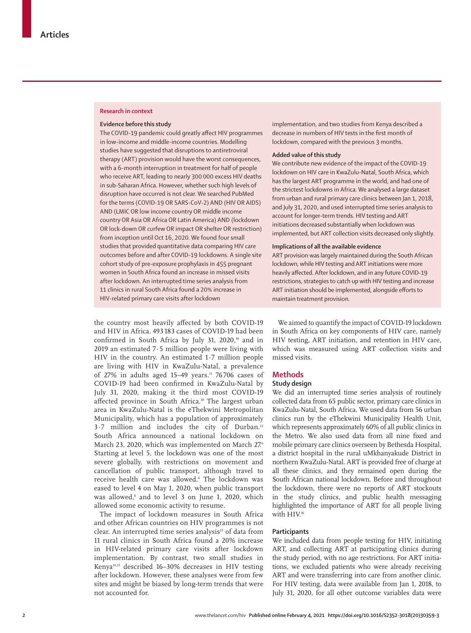### **Research in context**

## **Evidence before this study**

The COVID-19 pandemic could greatly affect HIV programmes in low-income and middle-income countries. Modelling studies have suggested that disruptions to antiretroviral therapy (ART) provision would have the worst consequences, with a 6-month interruption in treatment for half of people who receive ART, leading to nearly 300 000 excess HIV deaths in sub-Saharan Africa. However, whether such high levels of disruption have occurred is not clear. We searched PubMed for the terms (COVID-19 OR SARS-CoV-2) AND (HIV OR AIDS) AND (LMIC OR low income country OR middle income country OR Asia OR Africa OR Latin America) AND (lockdown OR lock-down OR curfew OR impact OR shelter OR restriction) from inception until Oct 16, 2020. We found four small studies that provided quantitative data comparing HIV care outcomes before and after COVID-19 lockdowns. A single site cohort study of pre-exposure prophylaxis in 455 pregnant women in South Africa found an increase in missed visits after lockdown. An interrupted time series analysis from 11 clinics in rural South Africa found a 20% increase in HIV-related primary care visits after lockdown

the country most heavily affected by both COVID-19 and HIV in Africa. 493 183 cases of COVID-19 had been confirmed in South Africa by July 31, 2020,<sup>10</sup> and in 2019 an estimated 7·5 million people were living with HIV in the country. An estimated 1·7 million people are living with HIV in KwaZulu-Natal, a prevalence of 27% in adults aged 15-49 years.<sup>11</sup> 76706 cases of COVID-19 had been confirmed in KwaZulu-Natal by July 31, 2020, making it the third most COVID-19 affected province in South Africa.<sup>10</sup> The largest urban area in KwaZulu-Natal is the eThekwini Metropolitan Municipality, which has a population of approximately 3.7 million and includes the city of Durban.<sup>12</sup> South Africa announced a national lockdown on March 23, 2020, which was implemented on March 276 Starting at level 5, the lockdown was one of the most severe globally, with restrictions on movement and cancellation of public transport, although travel to receive health care was allowed.6 The lockdown was eased to level 4 on May 1, 2020, when public transport was allowed,<sup>6</sup> and to level 3 on June 1, 2020, which allowed some economic activity to resume.

The impact of lockdown measures in South Africa and other African countries on HIV programmes is not clear. An interrupted time series analysis<sup>13</sup> of data from 11 rural clinics in South Africa found a 20% increase in HIV-related primary care visits after lockdown implementation. By contrast, two small studies in Kenya14,15 described 16–30% decreases in HIV testing after lockdown. However, these analyses were from few sites and might be biased by long-term trends that were not accounted for.

implementation, and two studies from Kenya described a decrease in numbers of HIV tests in the first month of lockdown, compared with the previous 3 months.

# **Added value of this study**

We contribute new evidence of the impact of the COVID-19 lockdown on HIV care in KwaZulu-Natal, South Africa, which has the largest ART programme in the world, and had one of the strictest lockdowns in Africa. We analysed a large dataset from urban and rural primary care clinics between Jan 1, 2018, and July 31, 2020, and used interrupted time series analysis to account for longer-term trends. HIV testing and ART initiations decreased substantially when lockdown was implemented, but ART collection visits decreased only slightly.

## **Implications of all the available evidence**

ART provision was largely maintained during the South African lockdown, while HIV testing and ART initiations were more heavily affected. After lockdown, and in any future COVID-19 restrictions, strategies to catch up with HIV testing and increase ART initiation should be implemented, alongside efforts to maintain treatment provision.

We aimed to quantify the impact of COVID-19 lockdown in South Africa on key components of HIV care, namely HIV testing, ART initiation, and retention in HIV care, which was measured using ART collection visits and missed visits.

# **Methods**

## **Study design**

We did an interrupted time series analysis of routinely collected data from 65 public sector, primary care clinics in KwaZulu-Natal, South Africa. We used data from 56 urban clinics run by the eThekwini Municipality Health Unit, which represents approximately 60% of all public clinics in the Metro. We also used data from all nine fixed and mobile primary care clinics overseen by Bethesda Hospital, a district hospital in the rural uMkhanyakude District in northern KwaZulu-Natal. ART is provided free of charge at all these clinics, and they remained open during the South African national lockdown. Before and throughout the lockdown, there were no reports of ART stockouts in the study clinics, and public health messaging highlighted the importance of ART for all people living with HIV.16

## **Participants**

We included data from people testing for HIV, initiating ART, and collecting ART at participating clinics during the study period, with no age restrictions. For ART initiations, we excluded patients who were already receiving ART and were transferring into care from another clinic. For HIV testing, data were available from Jan 1, 2018, to July 31, 2020, for all other outcome variables data were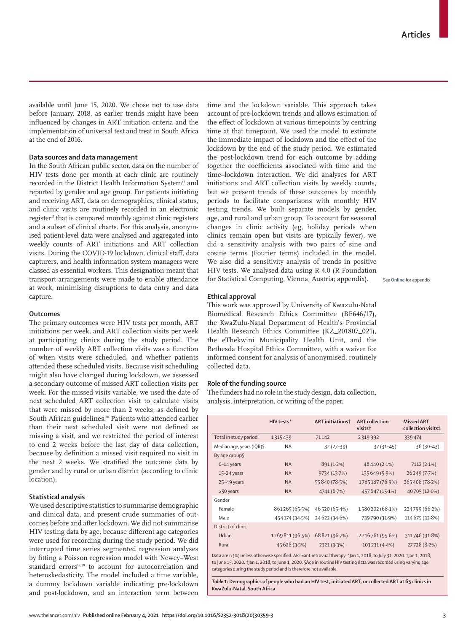available until June 15, 2020. We chose not to use data before January, 2018, as earlier trends might have been influenced by changes in ART initiation criteria and the implementation of universal test and treat in South Africa at the end of 2016.

# **Data sources and data management**

In the South African public sector, data on the number of HIV tests done per month at each clinic are routinely recorded in the District Health Information System<sup>12</sup> and reported by gender and age group. For patients initiating and receiving ART, data on demographics, clinical status, and clinic visits are routinely recorded in an electronic register<sup>17</sup> that is compared monthly against clinic registers and a subset of clinical charts. For this analysis, anonymised patient-level data were analysed and aggregated into weekly counts of ART initiations and ART collection visits. During the COVID-19 lockdown, clinical staff, data capturers, and health information system managers were classed as essential workers. This designation meant that transport arrangements were made to enable attendance at work, minimising disruptions to data entry and data capture.

## **Outcomes**

The primary outcomes were HIV tests per month, ART initiations per week, and ART collection visits per week at participating clinics during the study period. The number of weekly ART collection visits was a function of when visits were scheduled, and whether patients attended these scheduled visits. Because visit scheduling might also have changed during lockdown, we assessed a secondary outcome of missed ART collection visits per week. For the missed visits variable, we used the date of next scheduled ART collection visit to calculate visits that were missed by more than 2 weeks, as defined by South African guidelines.<sup>18</sup> Patients who attended earlier than their next scheduled visit were not defined as missing a visit, and we restricted the period of interest to end 2 weeks before the last day of data collection, because by definition a missed visit required no visit in the next 2 weeks. We stratified the outcome data by gender and by rural or urban district (according to clinic location).

# **Statistical analysis**

We used descriptive statistics to summarise demographic and clinical data, and present crude summaries of outcomes before and after lockdown. We did not summarise HIV testing data by age, because different age categories were used for recording during the study period. We did interrupted time series segmented regression analyses by fitting a Poisson regression model with Newey–West standard errors<sup>19,20</sup> to account for autocorrelation and heteroskedasticity. The model included a time variable, a dummy lockdown variable indicating pre-lockdown and post-lockdown, and an interaction term between time and the lockdown variable. This approach takes account of pre-lockdown trends and allows estimation of the effect of lockdown at various timepoints by centring time at that timepoint. We used the model to estimate the immediate impact of lockdown and the effect of the lockdown by the end of the study period. We estimated the post-lockdown trend for each outcome by adding together the coefficients associated with time and the time–lockdown interaction. We did analyses for ART initiations and ART collection visits by weekly counts, but we present trends of these outcomes by monthly periods to facilitate comparisons with monthly HIV testing trends. We built separate models by gender, age, and rural and urban group. To account for seasonal changes in clinic activity (eg, holiday periods when clinics remain open but visits are typically fewer), we did a sensitivity analysis with two pairs of sine and cosine terms (Fourier terms) included in the model. We also did a sensitivity analysis of trends in positive HIV tests. We analysed data using R 4.0 (R Foundation for Statistical Computing, Vienna, Austria; appendix).

See **Online** for appendix

# **Ethical approval**

This work was approved by University of Kwazulu-Natal Biomedical Research Ethics Committee (BE646/17), the KwaZulu-Natal Department of Health's Provincial Health Research Ethics Committee (KZ\_201807\_021), the eThekwini Municipality Health Unit, and the Bethesda Hospital Ethics Committee, with a waiver for informed consent for analysis of anonymised, routinely collected data.

# **Role of the funding source**

The funders had no role in the study design, data collection, analysis, interpretation, or writing of the paper.

|                                                                                                                   | HIV tests*      | <b>ART</b> initiations <sup>†</sup> | <b>ART</b> collection<br>visits <sup>+</sup> | <b>Missed ART</b><br>collection visits‡ |  |
|-------------------------------------------------------------------------------------------------------------------|-----------------|-------------------------------------|----------------------------------------------|-----------------------------------------|--|
| Total in study period                                                                                             | 1315439         | 71142                               | 2319992                                      | 339474                                  |  |
| Median age, years (IQR) §                                                                                         | <b>NA</b>       | $32(27-39)$                         | $37(31 - 45)$                                | $36(30-43)$                             |  |
| By age group§                                                                                                     |                 |                                     |                                              |                                         |  |
| $0-14$ years                                                                                                      | <b>NA</b>       | 891 (1.2%)                          | 48440 (2.1%)                                 | 7112 (2.1%)                             |  |
| $15-24$ years                                                                                                     | <b>NA</b>       | 9734 (13.7%)                        | 135649 (5.9%)                                | 26249 (7.7%)                            |  |
| 25-49 years                                                                                                       | <b>NA</b>       | 55 840 (78.5%)                      | 1785187 (76.9%)                              | 265408 (78.2%)                          |  |
| $\geq$ 50 years                                                                                                   | <b>NA</b>       | 4741 (6.7%)                         | 457 647 (15-1%)                              | 40705 (12.0%)                           |  |
| Gender                                                                                                            |                 |                                     |                                              |                                         |  |
| Female                                                                                                            | 861265 (65.5%)  | 46 520 (65.4%)                      | 1580202 (68.1%)                              | 224799 (66.2%)                          |  |
| Male                                                                                                              | 454 174 (34.5%) | 24622 (34.6%)                       | 739790 (31.9%)                               | 114 675 (33.8%)                         |  |
| District of clinic                                                                                                |                 |                                     |                                              |                                         |  |
| Urban                                                                                                             | 1269811 (96.5%) | 68821 (96.7%)                       | 2216761 (95.6%)                              | 311746 (91.8%)                          |  |
| Rural                                                                                                             | 45 628 (3.5%)   | 2321 (3.3%)                         | 103 231 (4.4%)                               | 27728 (8.2%)                            |  |
| Data are n (%) unless otherwise specified ART=antiretroviral therapy *lan 1, 2018, to July 31, 2020, tlan 1, 2018 |                 |                                     |                                              |                                         |  |

to June 15, 2020. ‡Jan 1, 2018, to June 1, 2020. §Age in routine HIV testing data was recorded using varying age categories during the study period and is therefore not available.

*Table 1:* **Demographics of people who had an HIV test, initiated ART, or collected ART at 65 clinics in KwaZulu-Natal, South Africa**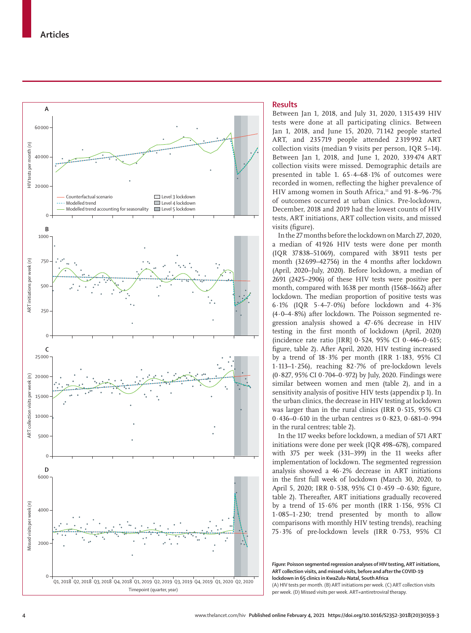

# **Results**

Between Jan 1, 2018, and July 31, 2020, 1 315 439 HIV tests were done at all participating clinics. Between Jan 1, 2018, and June 15, 2020, 71 142 people started ART, and 235 719 people attended 2 319 992 ART collection visits (median 9 visits per person, IQR 5–14). Between Jan 1, 2018, and June 1, 2020, 339 474 ART collection visits were missed. Demographic details are presented in table 1.  $65.4-68.1\%$  of outcomes were recorded in women, reflecting the higher prevalence of HIV among women in South Africa, $11$  and  $91.8-96.7%$ of outcomes occurred at urban clinics. Pre-lockdown, December, 2018 and 2019 had the lowest counts of HIV tests, ART initiations, ART collection visits, and missed visits (figure).

In the 27 months before the lockdown on March 27, 2020, a median of 41926 HIV tests were done per month (IQR 37838–51069), compared with 38911 tests per month (32699–42756) in the 4 months after lockdown (April, 2020–July, 2020). Before lockdown, a median of 2691 (2425–2906) of these HIV tests were positive per month, compared with 1638 per month (1568–1662) after lockdown. The median proportion of positive tests was 6·1% (IQR 5·4–7·0%) before lockdown and 4·3% (4·0–4·8%) after lockdown. The Poisson segmented regression analysis showed a 47·6% decrease in HIV testing in the first month of lockdown (April, 2020) (incidence rate ratio [IRR] 0·524, 95% CI 0·446–0·615; figure, table 2). After April, 2020, HIV testing increased by a trend of 18·3% per month (IRR 1·183, 95% CI 1·113–1·256), reaching 82·7% of pre-lockdown levels (0·827, 95% CI 0·704–0·972) by July, 2020. Findings were similar between women and men (table 2), and in a sensitivity analysis of positive HIV tests (appendix p 1). In the urban clinics, the decrease in HIV testing at lockdown was larger than in the rural clinics (IRR 0·515, 95% CI 0·436–0·610 in the urban centres *vs* 0·823, 0·681–0·994 in the rural centres; table 2).

In the 117 weeks before lockdown, a median of 571 ART initiations were done per week (IQR 498–678), compared with 375 per week (331–399) in the 11 weeks after implementation of lockdown. The segmented regression analysis showed a 46·2% decrease in ART initiations in the first full week of lockdown (March 30, 2020, to April 5, 2020; IRR 0·538, 95% CI 0·459 –0·630; figure, table 2). Thereafter, ART initiations gradually recovered by a trend of 15·6% per month (IRR 1·156, 95% CI 1·085–1·230; trend presented by month to allow comparisons with monthly HIV testing trends), reaching 75·3% of pre-lockdown levels (IRR 0·753, 95% CI

*Figure:* **Poisson segmented regression analyses of HIV testing, ART initiations, ART collection visits, and missed visits, before and after the COVID-19 lockdown in 65 clinics in KwaZulu-Natal, South Africa** (A) HIV tests per month. (B) ART initiations per week. (C) ART collection visits per week. (D) Missed visits per week. ART=antiretroviral therapy.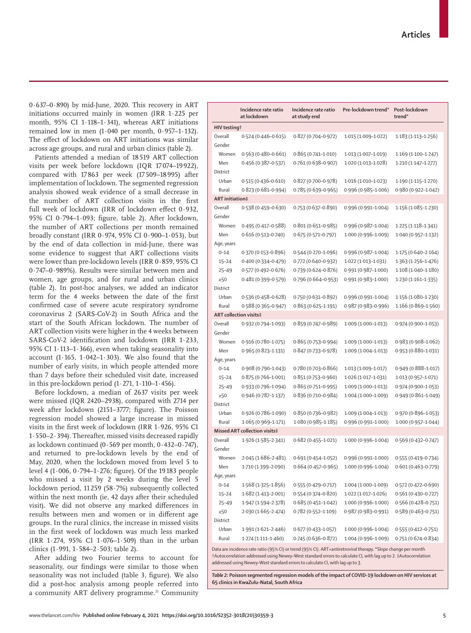www.thelancet.com/hiv **Published online February 4, 2021 https://doi.org/10.1016/S2352-3018(20)30359-3 5**

 $0.637-0.890$ ) by mid-June, 2020. This recovery in ART initiations occurred mainly in women (IRR 1·225 per month, 95% CI 1·118–1·341), whereas ART initiations remained low in men (1·040 per month, 0·957–1·132). The effect of lockdown on ART initiations was similar across age groups, and rural and urban clinics (table 2).

Patients attended a median of 18 519 ART collection visits per week before lockdown (IQR 17 074–19 922), compared with 17 863 per week (17 509–18 995) after implementation of lockdown. The segmented regression analysis showed weak evidence of a small decrease in the number of ART collection visits in the first full week of lockdown (IRR of lockdown effect 0·932, 95% CI 0·794–1·093; figure, table 2). After lockdown, the number of ART collections per month remained broadly constant (IRR 0·974, 95% CI 0·900–1·053), but by the end of data collection in mid-June, there was some evidence to suggest that ART collections visits were lower than pre-lockdown levels (IRR 0·859, 95% CI 0·747–0·989%). Results were similar between men and women, age groups, and for rural and urban clinics (table 2). In post-hoc analyses, we added an indicator term for the 4 weeks between the date of the first confirmed case of severe acute respiratory syndrome coronavirus 2 (SARS-CoV-2) in South Africa and the start of the South African lockdown. The number of ART collection visits were higher in the 4 weeks between SARS-CoV-2 identification and lockdown (IRR 1·233, 95% CI 1·113–1·366), even when taking seasonality into account (1·165, 1·042–1·303). We also found that the number of early visits, in which people attended more than 7 days before their scheduled visit date, increased in this pre-lockdown period  $(1.271, 1.110-1.456)$ .

Before lockdown, a median of 2637 visits per week were missed (IQR 2420–2938), compared with 2714 per week after lockdown (2151–3777; figure). The Poisson regression model showed a large increase in missed visits in the first week of lockdown (IRR 1·926, 95% CI 1·550–2·394). Thereafter, missed visits decreased rapidly as lockdown continued (0·569 per month, 0·432–0·747), and returned to pre-lockdown levels by the end of May, 2020, when the lockdown moved from level 5 to level 4 (1·006, 0·794–1·276; figure). Of the 19 183 people who missed a visit by 2 weeks during the level 5 lockdown period, 11 259 (58·7%) subsequently collected within the next month (ie, 42 days after their scheduled visit). We did not observe any marked differences in results between men and women or in different age groups. In the rural clinics, the increase in missed visits in the first week of lockdown was much less marked (IRR 1·274, 95% CI 1·076–1·509) than in the urban clinics (1·991, 1·584–2·503; table 2).

After adding two Fourier terms to account for seasonality, our findings were similar to those when seasonality was not included (table 3, figure). We also did a post-hoc analysis among people referred into a community ART delivery programme.<sup>21</sup> Community

|                        | Incidence rate ratio<br>at lockdown                     | Incidence rate ratio<br>at study end | Pre-lockdown trend*                                                       | Post-lockdown<br>trend <sup>*</sup>           |  |  |  |  |
|------------------------|---------------------------------------------------------|--------------------------------------|---------------------------------------------------------------------------|-----------------------------------------------|--|--|--|--|
| HIV testing†           |                                                         |                                      |                                                                           |                                               |  |  |  |  |
| Overall                | $0.524(0.446 - 0.615)$                                  | 0.827 (0.704-0.972)                  | 1.015 (1.009-1.022)                                                       | $1.183(1.113 - 1.256)$                        |  |  |  |  |
| Gender                 |                                                         |                                      |                                                                           |                                               |  |  |  |  |
| Women                  | $0.563(0.480 - 0.661)$                                  | $0.865(0.741 - 1.010)$               | 1.013 (1.007-1.019)                                                       | $1.169(1.100 - 1.247)$                        |  |  |  |  |
| Men                    | 0.456 (0.387-0.537)                                     | 0.761 (0.638-0.907)                  | 1.020 (1.013-1.028)                                                       | $1.210(1.147 - 1.277)$                        |  |  |  |  |
| District               |                                                         |                                      |                                                                           |                                               |  |  |  |  |
| Urban                  | 0.515 (0.436-0.610)                                     | $0.827(0.700 - 0.978)$               | $1.016(1.010 - 1.023)$                                                    | 1.190 (1.115-1.270)                           |  |  |  |  |
| Rural                  | 0.823 (0.681-0.994)                                     | 0.785 (0.639-0.965)                  | 0.996 (0.985-1.006)                                                       | 0.980 (0.922-1.042)                           |  |  |  |  |
|                        | <b>ART</b> initiation‡                                  |                                      |                                                                           |                                               |  |  |  |  |
| Overall                | 0.538 (0.459-0.630)                                     | 0.753 (0.637-0.890)                  | 0.996 (0.991-1.004)                                                       | 1.156 (1.085-1.230)                           |  |  |  |  |
| Gender                 |                                                         |                                      |                                                                           |                                               |  |  |  |  |
| Women                  | $0.495(0.417 - 0.588)$                                  | $0.801(0.651 - 0.985)$               | 0.996 (0.987-1.004)                                                       | $1.225(1.118-1.341)$                          |  |  |  |  |
| Men                    | $0.616(0.513 - 0.740)$                                  | $0.675(0.571 - 0.797)$               | 1.000 (0.996-1.009)                                                       | 1.040 (0.957-1.132)                           |  |  |  |  |
| Age, years             |                                                         |                                      |                                                                           |                                               |  |  |  |  |
| $0 - 14$               | $0.370(0.153 - 0.896)$                                  | 0.544 (0.270-1.096)                  | 0.996 (0.987-1.004)                                                       | $1.175(0.640 - 2.164)$                        |  |  |  |  |
| $15 - 24$              | 0-400 (0-334-0-479)                                     | 0.772 (0.640-0.932)                  | $1.022(1.013 - 1.031)$                                                    | 1.363 (1.256-1.476)                           |  |  |  |  |
| $25 - 49$              | $0.577(0.492 - 0.676)$                                  | 0.739 (0.624-0.876)                  | 0.991 (0.987-1.000)                                                       | $1.108(1.040 - 1.180)$                        |  |  |  |  |
| $\geq 50$              | 0-481 (0-399-0-579)                                     | 0.796 (0.664-0.953)                  | 0.991 (0.983-1.000)                                                       | 1.230 (1.161-1.335)                           |  |  |  |  |
| District               |                                                         |                                      |                                                                           |                                               |  |  |  |  |
| Urban                  | 0.536 (0.458-0.628)                                     | 0.750 (0.631-0.892)                  | 0.996 (0.991-1.004)                                                       | 1.156 (1.080-1.230)                           |  |  |  |  |
| Rural                  | 0.588 (0.365-0.947)                                     | $0.863(0.625 - 1.191)$               | 0.987 (0.983-0.996)                                                       | 1.166 (0.869-1.560)                           |  |  |  |  |
|                        | <b>ART collection visits‡</b>                           |                                      |                                                                           |                                               |  |  |  |  |
| Overall                | $0.932(0.794 - 1.093)$                                  | $0.859(0.747 - 0.989)$               | $1.009(1.000 - 1.013)$                                                    | 0.974 (0.900-1.053)                           |  |  |  |  |
| Gender                 |                                                         |                                      |                                                                           |                                               |  |  |  |  |
| Women                  | 0.916 (0.780-1.075)                                     | $0.865(0.753 - 0.994)$               | $1.009(1.000 - 1.013)$                                                    | $0.983(0.908 - 1.062)$                        |  |  |  |  |
| Men                    | 0.965 (0.823-1.131)                                     | $0.847(0.733 - 0.978)$               | 1.009 (1.004-1.013)                                                       | 0.953 (0.880-1.031)                           |  |  |  |  |
| Age, years             |                                                         |                                      |                                                                           |                                               |  |  |  |  |
| $0 - 14$               | 0.908 (0.790-1.043)                                     | $0.780(0.703 - 0.866)$               | 1.013 (1.009-1.017)                                                       | 0.949 (0.888-1.017)                           |  |  |  |  |
| $15 - 24$              | $0.875(0.766 - 1.001)$                                  | $0.851(0.753 - 0.960)$               | 1.026 (1.017-1.031)                                                       | $1.013(0.957 - 1.071)$                        |  |  |  |  |
| $25 - 49$              | 0.933 (0.796-1.094)                                     | $0.865(0.751 - 0.995)$               | $1.009(1.000 - 1.013)$                                                    | 0.974 (0.900-1.053)                           |  |  |  |  |
| $\geq 50$              | 0.946 (0.787-1.137)                                     | 0.836 (0.710-0.984)                  | 1.004 (1.000-1.009)                                                       | 0.949 (0.861-1.049)                           |  |  |  |  |
| District               |                                                         |                                      |                                                                           |                                               |  |  |  |  |
| Urban                  | 0.926 (0.786-1.090)                                     | $0.850(0.736 - 0.982)$               | $1.009(1.004 - 1.013)$                                                    | 0.970 (0.896-1.053)                           |  |  |  |  |
| Rural                  | $1.065(0.969 - 1.171)$<br>Missed ART collection visits‡ | $1.080(0.985 - 1.185)$               | 0.996 (0.991-1.000)                                                       | 1.000 (0.957-1.044)                           |  |  |  |  |
| Overall                |                                                         |                                      |                                                                           |                                               |  |  |  |  |
| Gender                 | 1.926 (1.585-2.341)                                     | $0.682(0.455 - 1.021)$               | $1.000(0.996 - 1.004)$                                                    | 0.569 (0.432-0.747)                           |  |  |  |  |
|                        |                                                         |                                      |                                                                           |                                               |  |  |  |  |
| Women<br>Men           | 2.045 (1.686–2.481)                                     | $0.664(0.457-0.965)$                 | $0.691 (0.454 - 1.052)$ $0.996 (0.991 - 1.000)$<br>$1.000(0.996 - 1.004)$ | 0.555 (0.419-0.734)<br>$0.601(0.463 - 0.779)$ |  |  |  |  |
|                        | 1.710 (1.399-2.090)                                     |                                      |                                                                           |                                               |  |  |  |  |
| Age, years<br>$0 - 14$ | $1.568(1.325 - 1.856)$                                  | 0.555 (0.429-0.717)                  | $1.004(1.000 - 1.009)$                                                    | 0.572 (0.472-0.690)                           |  |  |  |  |
| $15 - 24$              | $1.682(1.413 - 2.001)$                                  | 0.554 (0.374-0.820)                  | $1.022(1.017 - 1.026)$                                                    | 0.561 (0.430-0.727)                           |  |  |  |  |
| $25 - 49$              | 1.947 (1.594-2.378)                                     | $0.685(0.451 - 1.042)$               | $1.000(0.996 - 1.000)$                                                    | 0.566 (0.428-0.751)                           |  |  |  |  |
| $\geq 50$              | $2.030(1.665 - 2.474)$                                  | 0.782 (0.552-1.109)                  | 0.987 (0.983-0.991)                                                       | 0.589 (0.463-0.751)                           |  |  |  |  |
| District               |                                                         |                                      |                                                                           |                                               |  |  |  |  |
| Urban                  | $1.991(1.621 - 2.446)$                                  | $0.677(0.433 - 1.057)$               | 1.000 (0.996-1.004)                                                       | 0.555 (0.412-0.751)                           |  |  |  |  |
| Rural                  | $1.274(1.111 - 1.460)$                                  | 0.745 (0.636-0.872)                  | 1.004 (0.996-1.009)                                                       | $0.751(0.674 - 0.834)$                        |  |  |  |  |
|                        |                                                         |                                      |                                                                           |                                               |  |  |  |  |

Data are incidence rate ratio (95% CI) or trend (95% CI). ART=antiretroviral therapy. **\***Slope change per month †Autocorrelation addressed using Newey–West standard errors to calculate CI, with lag up to 2. ‡Autocorrelation addressed using Newey–West standard errors to calculate CI, with lag up to 3.

*Table 2:* **Poisson segmented regression models of the impact of COVID-19 lockdown on HIV services at 65 clinics in KwaZulu-Natal, South Africa**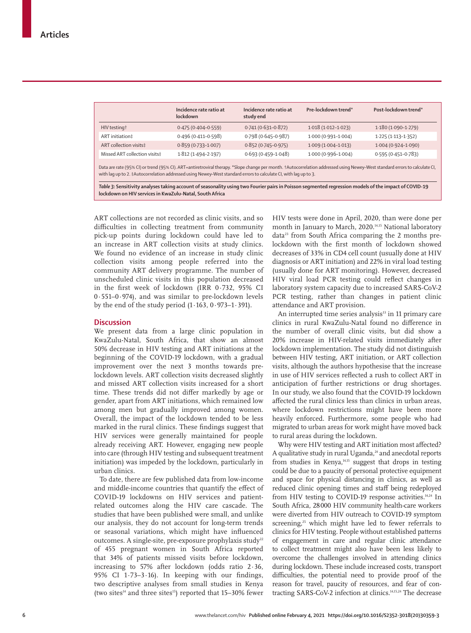|                                                                                                                                                                                                                                                                                                 | Incidence rate ratio at<br>lockdown | Incidence rate ratio at<br>study end | Pre-lockdown trend*    | Post-lockdown trend*   |  |  |  |
|-------------------------------------------------------------------------------------------------------------------------------------------------------------------------------------------------------------------------------------------------------------------------------------------------|-------------------------------------|--------------------------------------|------------------------|------------------------|--|--|--|
| HIV testing†                                                                                                                                                                                                                                                                                    | $0.475(0.404 - 0.559)$              | $0.741(0.631 - 0.872)$               | $1.018(1.012 - 1.023)$ | $1.180(1.090 - 1.279)$ |  |  |  |
| ART initiation‡                                                                                                                                                                                                                                                                                 | $0.496(0.411 - 0.598)$              | $0.798(0.645 - 0.987)$               | $1.000(0.991 - 1.004)$ | $1.225(1.113 - 1.352)$ |  |  |  |
| ART collection visits‡                                                                                                                                                                                                                                                                          | $0.859(0.733 - 1.007)$              | $0.852(0.745 - 0.975)$               | $1.009(1.004 - 1.013)$ | $1.004(0.924 - 1.090)$ |  |  |  |
| Missed ART collection visits‡                                                                                                                                                                                                                                                                   | $1.812(1.494 - 2.197)$              | $0.693(0.459 - 1.048)$               | 1.000 (0.996-1.004)    | $0.595(0.451 - 0.783)$ |  |  |  |
| Data are rate (95% CI) or trend (95% CI). ART=antiretroviral therapy. *Slope change per month. †Autocorrelation addressed using Newey-West standard errors to calculate CI,<br>with lag up to 2. #Autocorrelation addressed using Newey-West standard errors to calculate CI, with lag up to 3. |                                     |                                      |                        |                        |  |  |  |
| Table 3: Sensitivity analyses taking account of seasonality using two Fourier pairs in Poisson segmented regression models of the impact of COVID-19<br>lockdown on HIV services in KwaZulu-Natal, South Africa                                                                                 |                                     |                                      |                        |                        |  |  |  |

ART collections are not recorded as clinic visits, and so difficulties in collecting treatment from community pick-up points during lockdown could have led to an increase in ART collection visits at study clinics. We found no evidence of an increase in study clinic collection visits among people referred into the community ART delivery programme. The number of unscheduled clinic visits in this population decreased in the first week of lockdown (IRR 0·732, 95% CI 0·551–0·974), and was similar to pre-lockdown levels by the end of the study period  $(1.163, 0.973-1.391)$ .

# **Discussion**

We present data from a large clinic population in KwaZulu-Natal, South Africa, that show an almost 50% decrease in HIV testing and ART initiations at the beginning of the COVID-19 lockdown, with a gradual improvement over the next 3 months towards prelockdown levels. ART collection visits decreased slightly and missed ART collection visits increased for a short time. These trends did not differ markedly by age or gender, apart from ART initiations, which remained low among men but gradually improved among women. Overall, the impact of the lockdown tended to be less marked in the rural clinics. These findings suggest that HIV services were generally maintained for people already receiving ART. However, engaging new people into care (through HIV testing and subsequent treatment initiation) was impeded by the lockdown, particularly in urban clinics.

To date, there are few published data from low-income and middle-income countries that quantify the effect of COVID-19 lockdowns on HIV services and patientrelated outcomes along the HIV care cascade. The studies that have been published were small, and unlike our analysis, they do not account for long-term trends or seasonal variations, which might have influenced outcomes. A single-site, pre-exposure prophylaxis study<sup>22</sup> of 455 pregnant women in South Africa reported that 34% of patients missed visits before lockdown, increasing to 57% after lockdown (odds ratio 2∙36, 95% CI 1∙73–3∙16). In keeping with our findings, two descriptive analyses from small studies in Kenya (two sites<sup>14</sup> and three sites<sup>15</sup>) reported that  $15-30\%$  fewer HIV tests were done in April, 2020, than were done per month in January to March, 2020.14,15 National laboratory data<sup>23</sup> from South Africa comparing the 2 months prelockdown with the first month of lockdown showed decreases of 33% in CD4 cell count (usually done at HIV diagnosis or ART initiation) and 22% in viral load testing (usually done for ART monitoring). However, decreased HIV viral load PCR testing could reflect changes in laboratory system capacity due to increased SARS-CoV-2 PCR testing, rather than changes in patient clinic attendance and ART provision.

An interrupted time series analysis $13$  in 11 primary care clinics in rural KwaZulu-Natal found no difference in the number of overall clinic visits, but did show a 20% increase in HIV-related visits immediately after lockdown implementation. The study did not distinguish between HIV testing, ART initiation, or ART collection visits, although the authors hypothesise that the increase in use of HIV services reflected a rush to collect ART in anticipation of further restrictions or drug shortages. In our study, we also found that the COVID-19 lockdown affected the rural clinics less than clinics in urban areas, where lockdown restrictions might have been more heavily enforced. Furthermore, some people who had migrated to urban areas for work might have moved back to rural areas during the lockdown.

Why were HIV testing and ART initiation most affected? A qualitative study in rural Uganda, $24$  and anecdotal reports from studies in Kenya,14,15 suggest that drops in testing could be due to a paucity of personal protective equipment and space for physical distancing in clinics, as well as reduced clinic opening times and staff being redeployed from HIV testing to COVID-19 response activities.<sup>14,24</sup> In South Africa, 28000 HIV community health-care workers were diverted from HIV outreach to COVID-19 symptom screening,<sup>25</sup> which might have led to fewer referrals to clinics for HIV testing. People without established patterns of engagement in care and regular clinic attendance to collect treatment might also have been less likely to overcome the challenges involved in attending clinics during lockdown. These include increased costs, transport difficulties, the potential need to provide proof of the reason for travel, paucity of resources, and fear of contracting SARS-CoV-2 infection at clinics.14,15,24 The decrease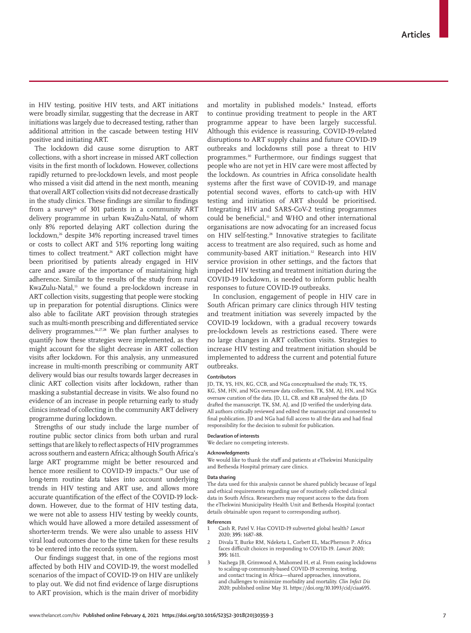in HIV testing, positive HIV tests, and ART initiations were broadly similar, suggesting that the decrease in ART initiations was largely due to decreased testing, rather than additional attrition in the cascade between testing HIV positive and initiating ART.

The lockdown did cause some disruption to ART collections, with a short increase in missed ART collection visits in the first month of lockdown. However, collections rapidly returned to pre-lockdown levels, and most people who missed a visit did attend in the next month, meaning that overall ART collection visits did not decrease drastically in the study clinics. These findings are similar to findings from a survey<sup>26</sup> of 301 patients in a community ART delivery programme in urban KwaZulu-Natal, of whom only 8% reported delaying ART collection during the lockdown,<sup>26</sup> despite 34% reporting increased travel times or costs to collect ART and 51% reporting long waiting times to collect treatment.<sup>26</sup> ART collection might have been prioritised by patients already engaged in HIV care and aware of the importance of maintaining high adherence. Similar to the results of the study from rural KwaZulu-Natal,<sup>13</sup> we found a pre-lockdown increase in ART collection visits, suggesting that people were stocking up in preparation for potential disruptions. Clinics were also able to facilitate ART provision through strategies such as multi-month prescribing and differentiated service delivery programmes.16,27,28 We plan further analyses to quantify how these strategies were implemented, as they might account for the slight decrease in ART collection visits after lockdown. For this analysis, any unmeasured increase in multi-month prescribing or community ART delivery would bias our results towards larger decreases in clinic ART collection visits after lockdown, rather than masking a substantial decrease in visits. We also found no evidence of an increase in people returning early to study clinics instead of collecting in the community ART delivery programme during lockdown.

Strengths of our study include the large number of routine public sector clinics from both urban and rural settings that are likely to reflect aspects of HIV programmes across southern and eastern Africa; although South Africa's large ART programme might be better resourced and hence more resilient to COVID-19 impacts.<sup>29</sup> Our use of long-term routine data takes into account underlying trends in HIV testing and ART use, and allows more accurate quantification of the effect of the COVID-19 lockdown. However, due to the format of HIV testing data, we were not able to assess HIV testing by weekly counts, which would have allowed a more detailed assessment of shorter-term trends. We were also unable to assess HIV viral load outcomes due to the time taken for these results to be entered into the records system.

Our findings suggest that, in one of the regions most affected by both HIV and COVID-19, the worst modelled scenarios of the impact of COVID-19 on HIV are unlikely to play out. We did not find evidence of large disruptions to ART provision, which is the main driver of morbidity

and mortality in published models.8 Instead, efforts to continue providing treatment to people in the ART programme appear to have been largely successful. Although this evidence is reassuring, COVID-19-related disruptions to ART supply chains and future COVID-19 outbreaks and lockdowns still pose a threat to HIV programmes.30 Furthermore, our findings suggest that people who are not yet in HIV care were most affected by the lockdown. As countries in Africa consolidate health systems after the first wave of COVID-19, and manage potential second waves, efforts to catch-up with HIV testing and initiation of ART should be prioritised. Integrating HIV and SARS-CoV-2 testing programmes could be beneficial,<sup>31</sup> and WHO and other international organisations are now advocating for an increased focus on HIV self-testing.<sup>28</sup> Innovative strategies to facilitate access to treatment are also required, such as home and community-based ART initiation.<sup>32</sup> Research into HIV service provision in other settings, and the factors that impeded HIV testing and treatment initiation during the COVID-19 lockdown, is needed to inform public health responses to future COVID-19 outbreaks.

In conclusion, engagement of people in HIV care in South African primary care clinics through HIV testing and treatment initiation was severely impacted by the COVID-19 lockdown, with a gradual recovery towards pre-lockdown levels as restrictions eased. There were no large changes in ART collection visits. Strategies to increase HIV testing and treatment initiation should be implemented to address the current and potential future outbreaks.

#### **Contributors**

JD, TK, YS, HN, KG, CCB, and NGa conceptualised the study. TK, YS, KG, SM, HN, and NGx oversaw data collection. TK, SM, AJ, HN, and NGx oversaw curation of the data. JD, LL, CB, and KB analysed the data. JD drafted the manuscript. TK, SM, AJ, and JD verified the underlying data. All authors critically reviewed and edited the manuscript and consented to final publication. JD and NGa had full access to all the data and had final responsibility for the decision to submit for publication.

#### **Declaration of interests**

We declare no competing interests.

### **Acknowledgments**

We would like to thank the staff and patients at eThekwini Municipality and Bethesda Hospital primary care clinics.

#### **Data sharing**

The data used for this analysis cannot be shared publicly because of legal and ethical requirements regarding use of routinely collected clinical data in South Africa. Researchers may request access to the data from the eThekwini Municipality Health Unit and Bethesda Hospital (contact details obtainable upon request to corresponding author).

#### **References**

- 1 Cash R, Patel V. Has COVID-19 subverted global health? *Lancet* 2020; **395:** 1687–88.
- 2 Divala T, Burke RM, Ndeketa L, Corbett EL, MacPherson P. Africa faces difficult choices in responding to COVID-19. *Lancet* 2020; **395:** 1611.
- 3 Nachega JB, Grimwood A, Mahomed H, et al. From easing lockdowns to scaling-up community-based COVID-19 screening, testing, and contact tracing in Africa—shared approaches, innovations, and challenges to minimize morbidity and mortality. *Clin Infect Dis* 2020; published online May 31. https://doi.org/10.1093/cid/ciaa695.